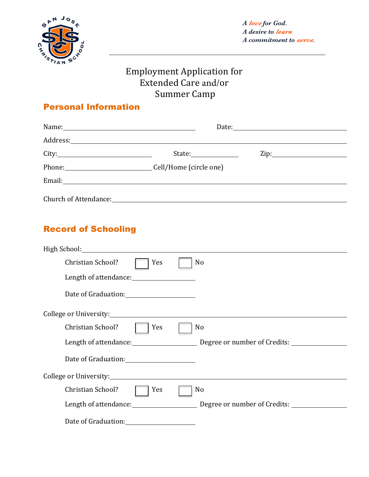

# Employment Application for Extended Care and/or Summer Camp

#### Personal Information

|                                                                                                                                                                                                                                | Date: $\qquad \qquad$                           |                   |  |  |
|--------------------------------------------------------------------------------------------------------------------------------------------------------------------------------------------------------------------------------|-------------------------------------------------|-------------------|--|--|
| Address: Andreas Address Address Address Andreas Address Address Address Address Address Address Address Address Address Address Address Address Address Address Address Address Address Address Address Address Address Addre |                                                 |                   |  |  |
| City:                                                                                                                                                                                                                          | State:                                          | $\mathsf{Zip:}\_$ |  |  |
| Phone: Cell/Home (circle one)                                                                                                                                                                                                  |                                                 |                   |  |  |
|                                                                                                                                                                                                                                |                                                 |                   |  |  |
|                                                                                                                                                                                                                                | Church of Attendance: The Church of Attendance: |                   |  |  |

### Record of Schooling

| High School: High School:                                                                                           |     |                                                    |  |
|---------------------------------------------------------------------------------------------------------------------|-----|----------------------------------------------------|--|
| Christian School?                                                                                                   | Yes | No                                                 |  |
| Length of attendance: 1999 and 1999 and 1999 and 1999 and 1999 and 1999 and 1999 and 1999 and 1999 and 1999 and 199 |     |                                                    |  |
| Date of Graduation: 2008                                                                                            |     |                                                    |  |
|                                                                                                                     |     |                                                    |  |
| Christian School?                                                                                                   | Yes | N <sub>o</sub>                                     |  |
|                                                                                                                     |     | Length of attendance: Degree or number of Credits: |  |
|                                                                                                                     |     |                                                    |  |
| College or University: University:                                                                                  |     |                                                    |  |
| Christian School?                                                                                                   | Yes | No                                                 |  |
| Length of attendance: Length of attendance:                                                                         |     | Degree or number of Credits:                       |  |
| Date of Graduation:                                                                                                 |     |                                                    |  |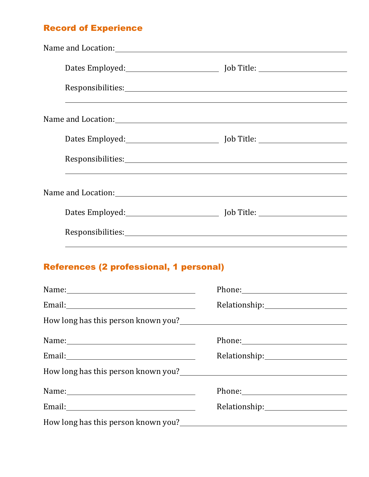#### Record of Experience

| Dates Employed: [10] Job Title: [20] Job Title: [20] Job Title: [20] Job Title: [20] Job Title: [20] Job Title: [20] Job Title: [20] Job Title: [20] Job Title: [20] Job Title: [20] Job Title: [20] Job Title: [20] Job Title         |                                                                                                                                                                                                                               |  |
|----------------------------------------------------------------------------------------------------------------------------------------------------------------------------------------------------------------------------------------|-------------------------------------------------------------------------------------------------------------------------------------------------------------------------------------------------------------------------------|--|
|                                                                                                                                                                                                                                        |                                                                                                                                                                                                                               |  |
|                                                                                                                                                                                                                                        |                                                                                                                                                                                                                               |  |
|                                                                                                                                                                                                                                        |                                                                                                                                                                                                                               |  |
|                                                                                                                                                                                                                                        |                                                                                                                                                                                                                               |  |
| <b>References (2 professional, 1 personal)</b>                                                                                                                                                                                         |                                                                                                                                                                                                                               |  |
|                                                                                                                                                                                                                                        | Phone: Note and the set of the set of the set of the set of the set of the set of the set of the set of the set of the set of the set of the set of the set of the set of the set of the set of the set of the set of the set |  |
| Email:                                                                                                                                                                                                                                 |                                                                                                                                                                                                                               |  |
| How long has this person known you?<br>Managem Managem Managem Managem Managem Managem Managem Managem Managem Managem Managem Managem Managem Managem Managem Managem Managem Managem Managem Managem Managem Managem Managem M       |                                                                                                                                                                                                                               |  |
| Name:                                                                                                                                                                                                                                  |                                                                                                                                                                                                                               |  |
| Email: 2008 and 2008 and 2008 and 2008 and 2008 and 2008 and 2008 and 2008 and 2008 and 2008 and 2008 and 2008 and 2008 and 2008 and 2008 and 2008 and 2008 and 2008 and 2008 and 2008 and 2008 and 2008 and 2008 and 2008 and         |                                                                                                                                                                                                                               |  |
| How long has this person known you?<br><u>Letting the contract of the set of the set of the set of the set of the set of the set of the set of the set of the set of the set of the set of the set of the set of the set of the se</u> |                                                                                                                                                                                                                               |  |
|                                                                                                                                                                                                                                        |                                                                                                                                                                                                                               |  |

Email: Email: Relationship: Relationship: Relationship: Relationship: Relationship: Relationship: Relationship: Relationship: Relationship: Relationship: Relationship: Relationship: Relationship: Relationship: Relationship

How long has this person known you?<br>
Mow long has this person known you?<br>
Mow long has this person known you?